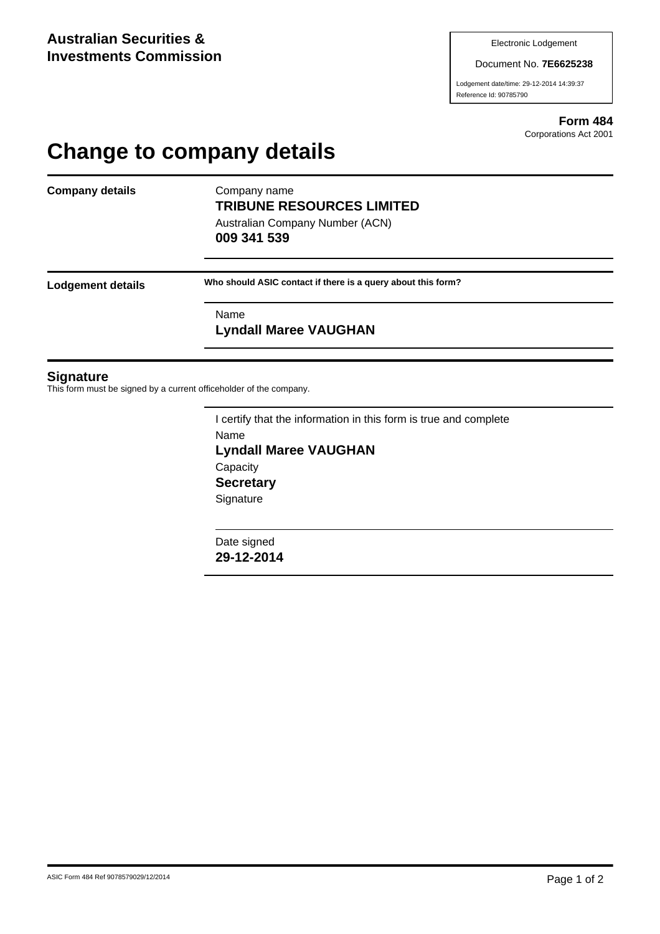Document No. **7E6625238**

Lodgement date/time: 29-12-2014 14:39:37 Reference Id: 90785790

> **Form 484** Corporations Act 2001

# **Change to company details**

**Company details** Company name

# **TRIBUNE RESOURCES LIMITED**

Australian Company Number (ACN) **009 341 539**

**Lodgement details Who should ASIC contact if there is a query about this form?**

Name

**Lyndall Maree VAUGHAN**

#### **Signature**

This form must be signed by a current officeholder of the company.

I certify that the information in this form is true and complete Name **Lyndall Maree VAUGHAN Capacity Secretary Signature** 

Date signed **29-12-2014**